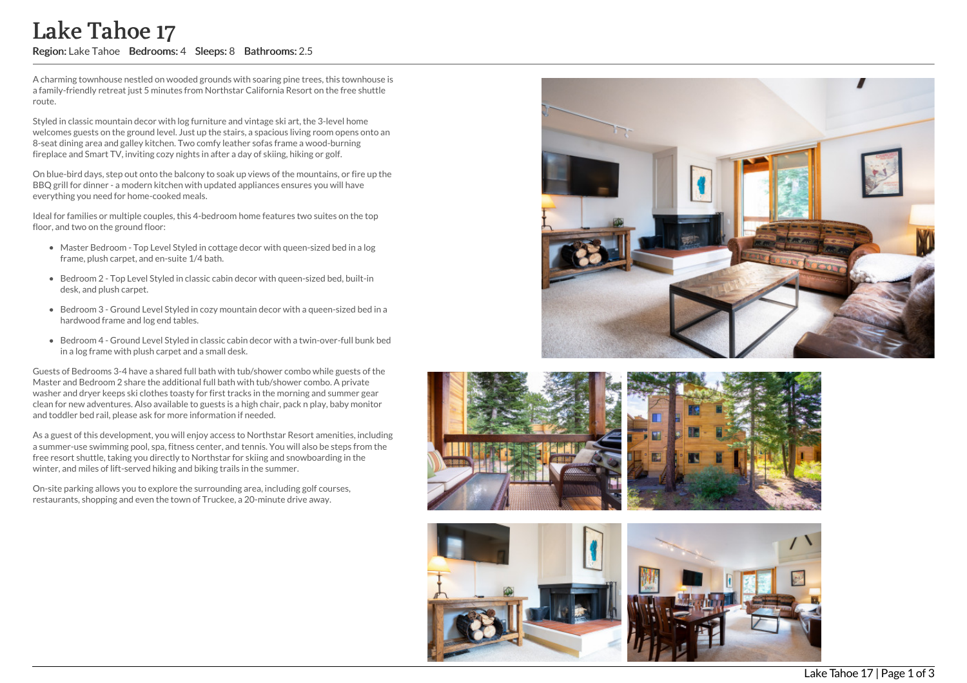## Lake Tahoe 17

## Region: Lake Tahoe Bedrooms: 4 Sleeps: 8 Bathrooms: 2.5

A charming townhouse nestled on wooded grounds with soaring pine trees, this townhouse is a family-friendly retreat just 5 minutes from Northstar California Resort on the free shuttle route.

Styled in classic mountain decor with log furniture and vintage ski art, the 3-level home welcomes guests on the ground level. Just up the stairs, a spacious living room opens onto an 8-seat dining area and galley kitchen. Two comfy leather sofas frame a wood-burning fireplace and Smart TV, inviting cozy nights in after a day of skiing, hiking or golf.

On blue-bird days, step out onto the balcony to soak up views of the mountains, or fire up the BBQ grill for dinner - a modern kitchen with updated appliances ensures you will have everything you need for home-cooked meals.

Ideal for families or multiple couples, this 4-bedroom home features two suites on the top floor, and two on the ground floor:

- Master Bedroom Top Level Styled in cottage decor with queen-sized bed in a log frame, plush carpet, and en-suite 1/4 bath.
- Bedroom 2 Top Level Styled in classic cabin decor with queen-sized bed, built-in desk, and plush carpet.
- Bedroom 3 Ground Level Styled in cozy mountain decor with a queen-sized bed in a hardwood frame and log end tables.
- Bedroom 4 Ground Level Styled in classic cabin decor with a twin-over-full bunk bed in a log frame with plush carpet and a small desk.

Guests of Bedrooms 3-4 have a shared full bath with tub/shower combo while guests of the Master and Bedroom 2 share the additional full bath with tub/shower combo. A private washer and dryer keeps ski clothes toasty for first tracks in the morning and summer gear clean for new adventures. Also available to guests is a high chair, pack n play, baby monitor and toddler bed rail, please ask for more information if needed.

As a guest of this development, you will enjoy access to Northstar Resort amenities, including a summer-use swimming pool, spa, fitness center, and tennis. You will also be steps from the free resort shuttle, taking you directly to Northstar for skiing and snowboarding in the winter, and miles of lift-served hiking and biking trails in the summer.

On-site parking allows you to explore the surrounding area, including golf courses, restaurants, shopping and even the town of Truckee, a 20-minute drive away.





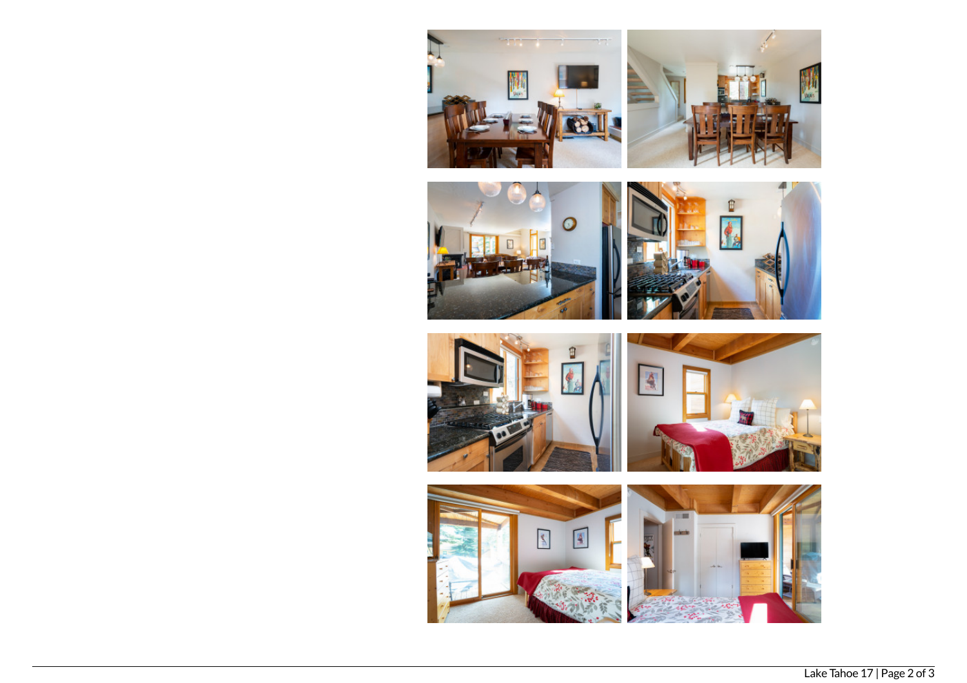